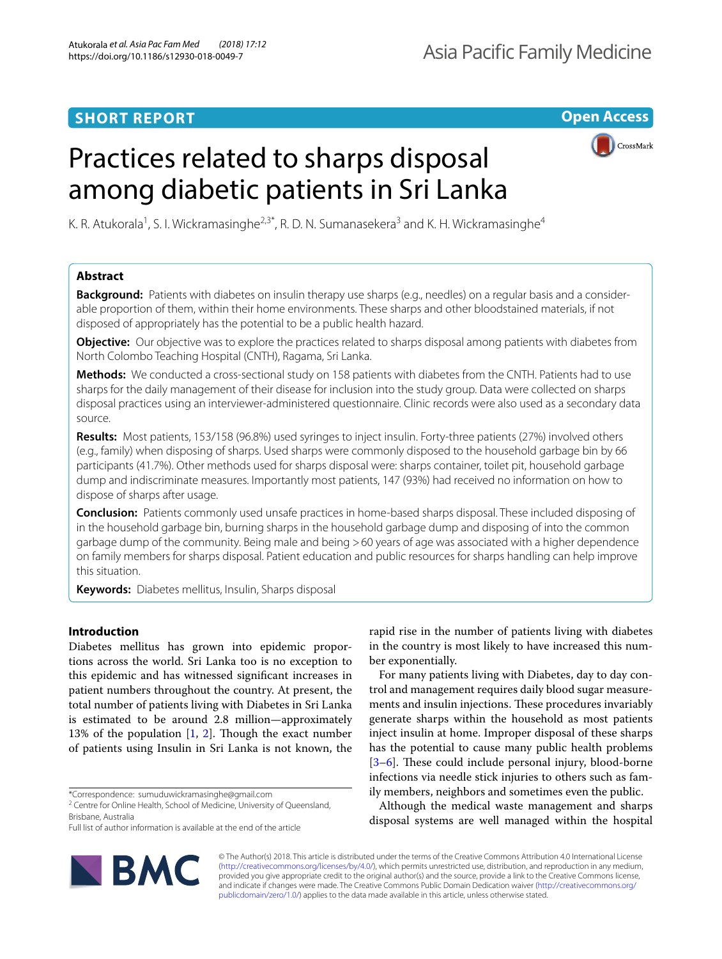# **SHORT REPORT**

**Open Access**

# Practices related to sharps disposal among diabetic patients in Sri Lanka



K. R. Atukorala<sup>1</sup>, S. I. Wickramasinghe<sup>2,3\*</sup>, R. D. N. Sumanasekera<sup>3</sup> and K. H. Wickramasinghe<sup>4</sup>

# **Abstract**

**Background:** Patients with diabetes on insulin therapy use sharps (e.g., needles) on a regular basis and a considerable proportion of them, within their home environments. These sharps and other bloodstained materials, if not disposed of appropriately has the potential to be a public health hazard.

**Objective:** Our objective was to explore the practices related to sharps disposal among patients with diabetes from North Colombo Teaching Hospital (CNTH), Ragama, Sri Lanka.

**Methods:** We conducted a cross-sectional study on 158 patients with diabetes from the CNTH. Patients had to use sharps for the daily management of their disease for inclusion into the study group. Data were collected on sharps disposal practices using an interviewer-administered questionnaire. Clinic records were also used as a secondary data source.

**Results:** Most patients, 153/158 (96.8%) used syringes to inject insulin. Forty-three patients (27%) involved others (e.g., family) when disposing of sharps. Used sharps were commonly disposed to the household garbage bin by 66 participants (41.7%). Other methods used for sharps disposal were: sharps container, toilet pit, household garbage dump and indiscriminate measures. Importantly most patients, 147 (93%) had received no information on how to dispose of sharps after usage.

**Conclusion:** Patients commonly used unsafe practices in home-based sharps disposal. These included disposing of in the household garbage bin, burning sharps in the household garbage dump and disposing of into the common garbage dump of the community. Being male and being >60 years of age was associated with a higher dependence on family members for sharps disposal. Patient education and public resources for sharps handling can help improve this situation.

**Keywords:** Diabetes mellitus, Insulin, Sharps disposal

# **Introduction**

Diabetes mellitus has grown into epidemic proportions across the world. Sri Lanka too is no exception to this epidemic and has witnessed signifcant increases in patient numbers throughout the country. At present, the total number of patients living with Diabetes in Sri Lanka is estimated to be around 2.8 million—approximately 13% of the population  $[1, 2]$  $[1, 2]$  $[1, 2]$  $[1, 2]$  $[1, 2]$ . Though the exact number of patients using Insulin in Sri Lanka is not known, the

\*Correspondence: sumuduwickramasinghe@gmail.com

<sup>2</sup> Centre for Online Health, School of Medicine, University of Queensland, Brisbane, Australia Full list of author information is available at the end of the article

For many patients living with Diabetes, day to day control and management requires daily blood sugar measurements and insulin injections. These procedures invariably generate sharps within the household as most patients inject insulin at home. Improper disposal of these sharps has the potential to cause many public health problems  $[3-6]$  $[3-6]$ . These could include personal injury, blood-borne infections via needle stick injuries to others such as family members, neighbors and sometimes even the public.

Although the medical waste management and sharps disposal systems are well managed within the hospital



rapid rise in the number of patients living with diabetes in the country is most likely to have increased this number exponentially.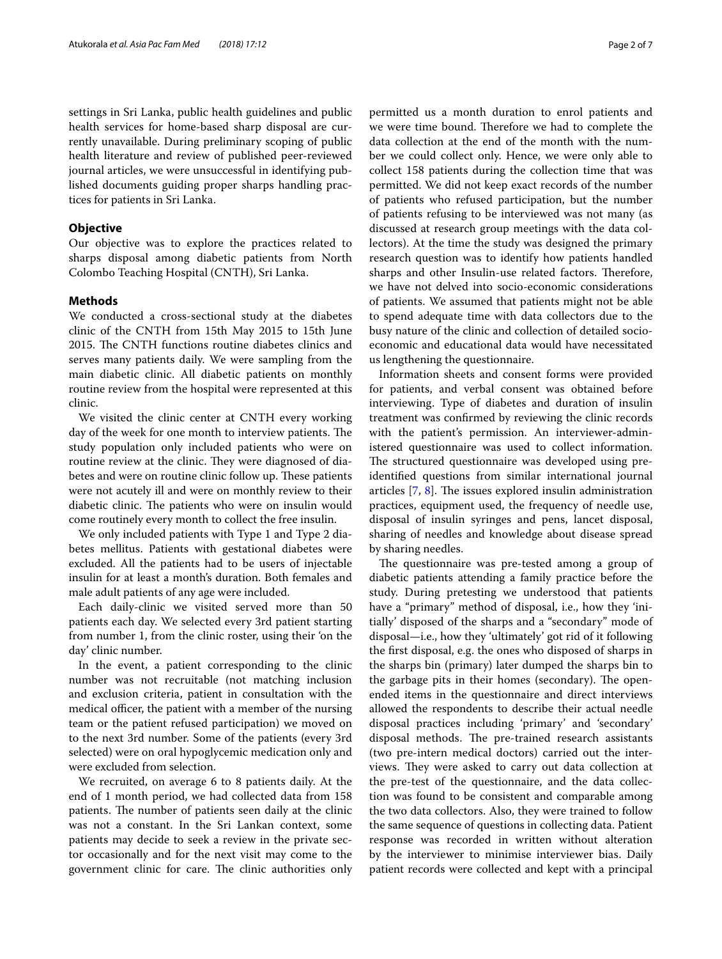settings in Sri Lanka, public health guidelines and public health services for home-based sharp disposal are currently unavailable. During preliminary scoping of public health literature and review of published peer-reviewed journal articles, we were unsuccessful in identifying published documents guiding proper sharps handling practices for patients in Sri Lanka.

## **Objective**

Our objective was to explore the practices related to sharps disposal among diabetic patients from North Colombo Teaching Hospital (CNTH), Sri Lanka.

# **Methods**

We conducted a cross-sectional study at the diabetes clinic of the CNTH from 15th May 2015 to 15th June 2015. The CNTH functions routine diabetes clinics and serves many patients daily. We were sampling from the main diabetic clinic. All diabetic patients on monthly routine review from the hospital were represented at this clinic.

We visited the clinic center at CNTH every working day of the week for one month to interview patients. The study population only included patients who were on routine review at the clinic. They were diagnosed of diabetes and were on routine clinic follow up. These patients were not acutely ill and were on monthly review to their diabetic clinic. The patients who were on insulin would come routinely every month to collect the free insulin.

We only included patients with Type 1 and Type 2 diabetes mellitus. Patients with gestational diabetes were excluded. All the patients had to be users of injectable insulin for at least a month's duration. Both females and male adult patients of any age were included.

Each daily-clinic we visited served more than 50 patients each day. We selected every 3rd patient starting from number 1, from the clinic roster, using their 'on the day' clinic number.

In the event, a patient corresponding to the clinic number was not recruitable (not matching inclusion and exclusion criteria, patient in consultation with the medical officer, the patient with a member of the nursing team or the patient refused participation) we moved on to the next 3rd number. Some of the patients (every 3rd selected) were on oral hypoglycemic medication only and were excluded from selection.

We recruited, on average 6 to 8 patients daily. At the end of 1 month period, we had collected data from 158 patients. The number of patients seen daily at the clinic was not a constant. In the Sri Lankan context, some patients may decide to seek a review in the private sector occasionally and for the next visit may come to the government clinic for care. The clinic authorities only permitted us a month duration to enrol patients and we were time bound. Therefore we had to complete the data collection at the end of the month with the number we could collect only. Hence, we were only able to collect 158 patients during the collection time that was permitted. We did not keep exact records of the number of patients who refused participation, but the number of patients refusing to be interviewed was not many (as discussed at research group meetings with the data collectors). At the time the study was designed the primary research question was to identify how patients handled sharps and other Insulin-use related factors. Therefore, we have not delved into socio-economic considerations of patients. We assumed that patients might not be able to spend adequate time with data collectors due to the busy nature of the clinic and collection of detailed socioeconomic and educational data would have necessitated us lengthening the questionnaire.

Information sheets and consent forms were provided for patients, and verbal consent was obtained before interviewing. Type of diabetes and duration of insulin treatment was confrmed by reviewing the clinic records with the patient's permission. An interviewer-administered questionnaire was used to collect information. The structured questionnaire was developed using preidentifed questions from similar international journal articles  $[7, 8]$  $[7, 8]$  $[7, 8]$  $[7, 8]$ . The issues explored insulin administration practices, equipment used, the frequency of needle use, disposal of insulin syringes and pens, lancet disposal, sharing of needles and knowledge about disease spread by sharing needles.

The questionnaire was pre-tested among a group of diabetic patients attending a family practice before the study. During pretesting we understood that patients have a "primary" method of disposal, i.e., how they 'initially' disposed of the sharps and a "secondary" mode of disposal—i.e., how they 'ultimately' got rid of it following the frst disposal, e.g. the ones who disposed of sharps in the sharps bin (primary) later dumped the sharps bin to the garbage pits in their homes (secondary). The openended items in the questionnaire and direct interviews allowed the respondents to describe their actual needle disposal practices including 'primary' and 'secondary' disposal methods. The pre-trained research assistants (two pre-intern medical doctors) carried out the interviews. They were asked to carry out data collection at the pre-test of the questionnaire, and the data collection was found to be consistent and comparable among the two data collectors. Also, they were trained to follow the same sequence of questions in collecting data. Patient response was recorded in written without alteration by the interviewer to minimise interviewer bias. Daily patient records were collected and kept with a principal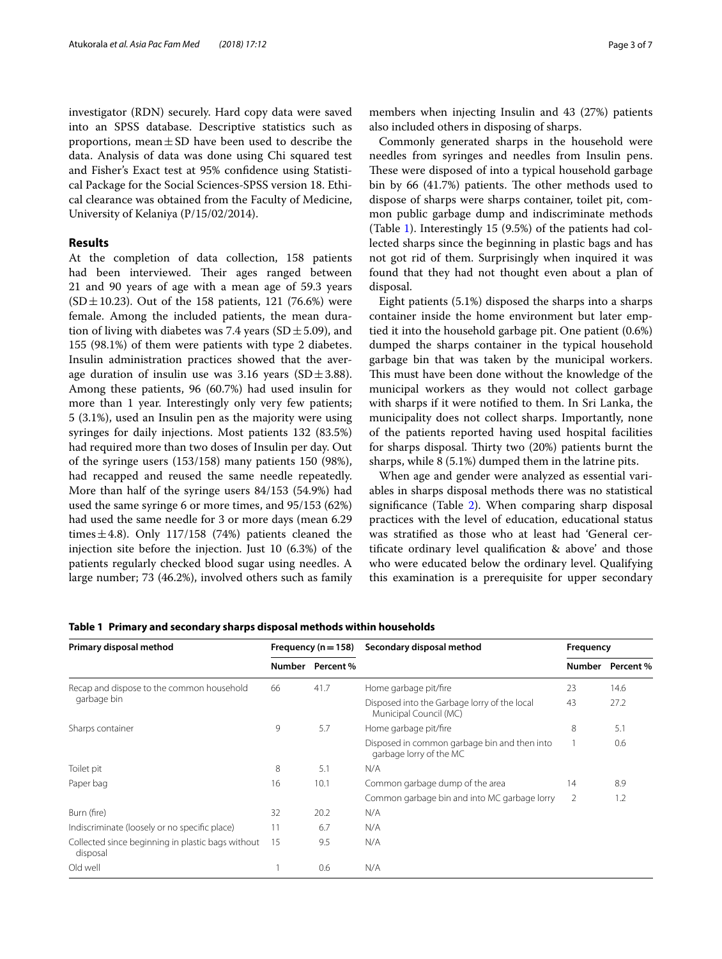investigator (RDN) securely. Hard copy data were saved into an SPSS database. Descriptive statistics such as proportions, mean $\pm$ SD have been used to describe the data. Analysis of data was done using Chi squared test and Fisher's Exact test at 95% confdence using Statistical Package for the Social Sciences-SPSS version 18. Ethical clearance was obtained from the Faculty of Medicine, University of Kelaniya (P/15/02/2014).

# **Results**

At the completion of data collection, 158 patients had been interviewed. Their ages ranged between 21 and 90 years of age with a mean age of 59.3 years  $(SD \pm 10.23)$ . Out of the 158 patients, 121 (76.6%) were female. Among the included patients, the mean duration of living with diabetes was 7.4 years (SD $\pm$ 5.09), and 155 (98.1%) of them were patients with type 2 diabetes. Insulin administration practices showed that the average duration of insulin use was 3.16 years (SD $\pm$ 3.88). Among these patients, 96 (60.7%) had used insulin for more than 1 year. Interestingly only very few patients; 5 (3.1%), used an Insulin pen as the majority were using syringes for daily injections. Most patients 132 (83.5%) had required more than two doses of Insulin per day. Out of the syringe users (153/158) many patients 150 (98%), had recapped and reused the same needle repeatedly. More than half of the syringe users 84/153 (54.9%) had used the same syringe 6 or more times, and 95/153 (62%) had used the same needle for 3 or more days (mean 6.29 times $\pm$ 4.8). Only 117/158 (74%) patients cleaned the injection site before the injection. Just 10 (6.3%) of the patients regularly checked blood sugar using needles. A large number; 73 (46.2%), involved others such as family

members when injecting Insulin and 43 (27%) patients also included others in disposing of sharps.

Commonly generated sharps in the household were needles from syringes and needles from Insulin pens. These were disposed of into a typical household garbage bin by 66 (41.7%) patients. The other methods used to dispose of sharps were sharps container, toilet pit, common public garbage dump and indiscriminate methods (Table [1](#page-2-0)). Interestingly 15 (9.5%) of the patients had collected sharps since the beginning in plastic bags and has not got rid of them. Surprisingly when inquired it was found that they had not thought even about a plan of disposal.

Eight patients (5.1%) disposed the sharps into a sharps container inside the home environment but later emptied it into the household garbage pit. One patient (0.6%) dumped the sharps container in the typical household garbage bin that was taken by the municipal workers. This must have been done without the knowledge of the municipal workers as they would not collect garbage with sharps if it were notifed to them. In Sri Lanka, the municipality does not collect sharps. Importantly, none of the patients reported having used hospital facilities for sharps disposal. Thirty two  $(20%)$  patients burnt the sharps, while 8 (5.1%) dumped them in the latrine pits.

When age and gender were analyzed as essential variables in sharps disposal methods there was no statistical signifcance (Table [2](#page-3-0)). When comparing sharp disposal practices with the level of education, educational status was stratifed as those who at least had 'General certifcate ordinary level qualifcation & above' and those who were educated below the ordinary level. Qualifying this examination is a prerequisite for upper secondary

<span id="page-2-0"></span>

|  |  |  | Table 1 Primary and secondary sharps disposal methods within households |
|--|--|--|-------------------------------------------------------------------------|
|  |  |  |                                                                         |

| Frequency ( $n = 158$ ) |      | Secondary disposal method                                               | Frequency |           |
|-------------------------|------|-------------------------------------------------------------------------|-----------|-----------|
|                         |      |                                                                         | Number    | Percent % |
| 66                      | 41.7 | Home garbage pit/fire                                                   | 23        | 14.6      |
|                         |      | Disposed into the Garbage lorry of the local<br>Municipal Council (MC)  | 43        | 27.2      |
| 9                       | 5.7  | Home garbage pit/fire                                                   | 8         | 5.1       |
|                         |      | Disposed in common garbage bin and then into<br>garbage lorry of the MC |           | 0.6       |
| 8                       | 5.1  | N/A                                                                     |           |           |
| 16                      | 10.1 | Common garbage dump of the area                                         | 14        | 8.9       |
|                         |      | Common garbage bin and into MC garbage lorry                            | 2         | 1.2       |
| 32                      | 20.2 | N/A                                                                     |           |           |
| 11                      | 6.7  | N/A                                                                     |           |           |
| 15                      | 9.5  | N/A                                                                     |           |           |
|                         | 0.6  | N/A                                                                     |           |           |
|                         |      | Number Percent %                                                        |           |           |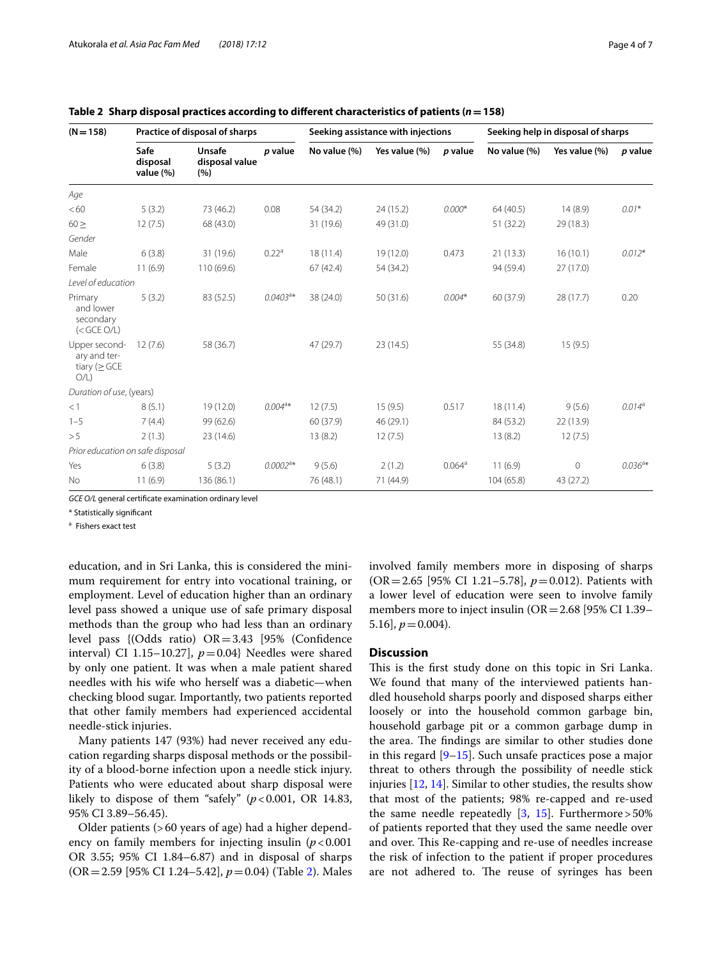|  | raye 4 y |  |
|--|----------|--|
|  |          |  |
|  |          |  |
|  |          |  |

| $(N = 158)$                                                | Practice of disposal of sharps |                                        |                   | Seeking assistance with injections |               |                      | Seeking help in disposal of sharps |               |           |
|------------------------------------------------------------|--------------------------------|----------------------------------------|-------------------|------------------------------------|---------------|----------------------|------------------------------------|---------------|-----------|
|                                                            | Safe<br>disposal<br>value (%)  | <b>Unsafe</b><br>disposal value<br>(%) | p value           | No value (%)                       | Yes value (%) | p value              | No value (%)                       | Yes value (%) | p value   |
| Age                                                        |                                |                                        |                   |                                    |               |                      |                                    |               |           |
| < 60                                                       | 5(3.2)                         | 73 (46.2)                              | 0.08              | 54 (34.2)                          | 24 (15.2)     | $0.000*$             | 64 (40.5)                          | 14(8.9)       | $0.01*$   |
| $60 \geq$                                                  | 12(7.5)                        | 68 (43.0)                              |                   | 31 (19.6)                          | 49 (31.0)     |                      | 51 (32.2)                          | 29 (18.3)     |           |
| Gender                                                     |                                |                                        |                   |                                    |               |                      |                                    |               |           |
| Male                                                       | 6(3.8)                         | 31 (19.6)                              | 0.22 <sup>a</sup> | 18(11.4)                           | 19 (12.0)     | 0.473                | 21(13.3)                           | 16(10.1)      | $0.012*$  |
| Female                                                     | 11(6.9)                        | 110 (69.6)                             |                   | 67(42.4)                           | 54 (34.2)     |                      | 94 (59.4)                          | 27(17.0)      |           |
| Level of education                                         |                                |                                        |                   |                                    |               |                      |                                    |               |           |
| Primary<br>and lower<br>secondary<br>$(<$ GCE O/L)         | 5(3.2)                         | 83 (52.5)                              | $0.0403a*$        | 38 (24.0)                          | 50 (31.6)     | $0.004*$             | 60 (37.9)                          | 28 (17.7)     | 0.20      |
| Upper second-<br>ary and ter-<br>tiary ( $\geq$ GCE<br>O/L | 12(7.6)                        | 58 (36.7)                              |                   | 47 (29.7)                          | 23 (14.5)     |                      | 55 (34.8)                          | 15(9.5)       |           |
| Duration of use, (years)                                   |                                |                                        |                   |                                    |               |                      |                                    |               |           |
| <1                                                         | 8(5.1)                         | 19 (12.0)                              | $0.004^{a*}$      | 12(7.5)                            | 15(9.5)       | 0.517                | 18(11.4)                           | 9(5.6)        | $0.014^a$ |
| $1 - 5$                                                    | 7(4.4)                         | 99 (62.6)                              |                   | 60 (37.9)                          | 46 (29.1)     |                      | 84 (53.2)                          | 22 (13.9)     |           |
| > 5                                                        | 2(1.3)                         | 23 (14.6)                              |                   | 13(8.2)                            | 12(7.5)       |                      | 13(8.2)                            | 12(7.5)       |           |
| Prior education on safe disposal                           |                                |                                        |                   |                                    |               |                      |                                    |               |           |
| Yes                                                        | 6(3.8)                         | 5(3.2)                                 | $0.0002^{a*}$     | 9(5.6)                             | 2(1.2)        | $0.064$ <sup>a</sup> | 11(6.9)                            | 0             | $0.036a*$ |
| No                                                         | 11(6.9)                        | 136 (86.1)                             |                   | 76 (48.1)                          | 71 (44.9)     |                      | 104 (65.8)                         | 43 (27.2)     |           |

<span id="page-3-0"></span>

|  |  |  |  | Table 2 Sharp disposal practices according to different characteristics of patients ( $n = 158$ ) |  |  |
|--|--|--|--|---------------------------------------------------------------------------------------------------|--|--|
|--|--|--|--|---------------------------------------------------------------------------------------------------|--|--|

*GCE O/L* general certifcate examination ordinary level

\* Statistically signifcant

<sup>a</sup> Fishers exact test

education, and in Sri Lanka, this is considered the minimum requirement for entry into vocational training, or employment. Level of education higher than an ordinary level pass showed a unique use of safe primary disposal methods than the group who had less than an ordinary level pass {(Odds ratio)  $OR = 3.43$  [95% (Confidence interval) CI 1.15–10.27],  $p=0.04$ } Needles were shared by only one patient. It was when a male patient shared needles with his wife who herself was a diabetic—when checking blood sugar. Importantly, two patients reported that other family members had experienced accidental needle-stick injuries.

Many patients 147 (93%) had never received any education regarding sharps disposal methods or the possibility of a blood-borne infection upon a needle stick injury. Patients who were educated about sharp disposal were likely to dispose of them "safely"  $(p < 0.001, \text{ OR } 14.83,$ 95% CI 3.89–56.45).

Older patients (>60 years of age) had a higher dependency on family members for injecting insulin  $(p<0.001)$ OR 3.55; 95% CI 1.84–6.87) and in disposal of sharps (OR=2.59 [95% CI 1.24–5.42], *p*=0.04) (Table [2\)](#page-3-0). Males involved family members more in disposing of sharps (OR=2.65 [95% CI 1.21–5.78], *p*=0.012). Patients with a lower level of education were seen to involve family members more to inject insulin ( $OR = 2.68$  [95% CI 1.39– 5.16],  $p = 0.004$ .

# **Discussion**

This is the first study done on this topic in Sri Lanka. We found that many of the interviewed patients handled household sharps poorly and disposed sharps either loosely or into the household common garbage bin, household garbage pit or a common garbage dump in the area. The findings are similar to other studies done in this regard [[9–](#page-6-6)[15](#page-6-7)]. Such unsafe practices pose a major threat to others through the possibility of needle stick injuries [[12,](#page-6-8) [14](#page-6-9)]. Similar to other studies, the results show that most of the patients; 98% re-capped and re-used the same needle repeatedly  $[3, 15]$  $[3, 15]$  $[3, 15]$  $[3, 15]$ . Furthermore > 50% of patients reported that they used the same needle over and over. This Re-capping and re-use of needles increase the risk of infection to the patient if proper procedures are not adhered to. The reuse of syringes has been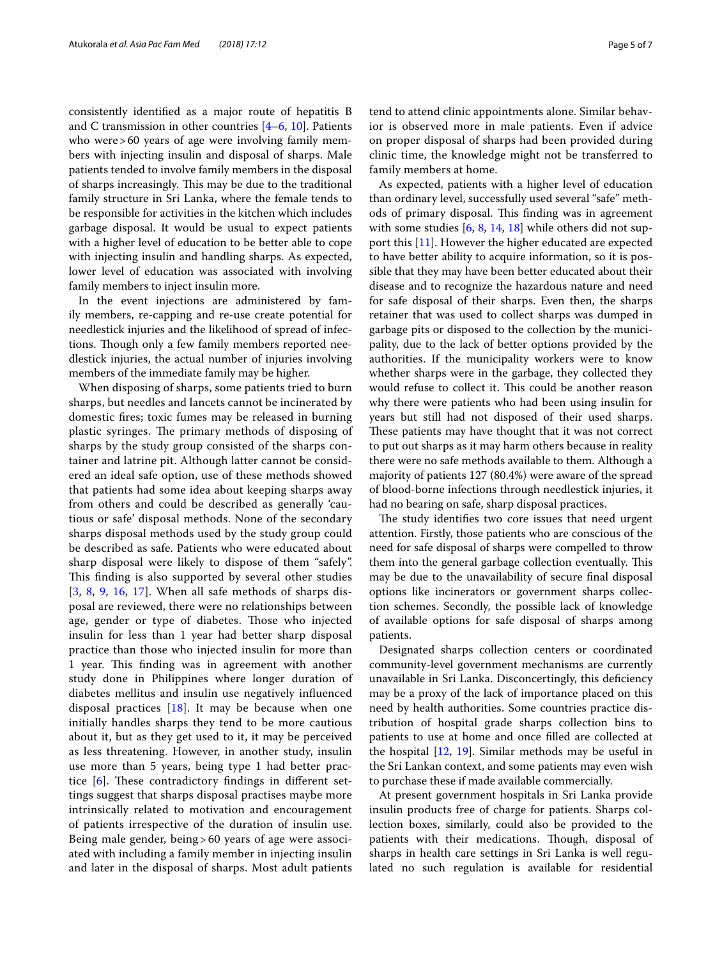consistently identifed as a major route of hepatitis B and C transmission in other countries  $[4-6, 10]$  $[4-6, 10]$  $[4-6, 10]$  $[4-6, 10]$ . Patients who were > 60 years of age were involving family members with injecting insulin and disposal of sharps. Male patients tended to involve family members in the disposal of sharps increasingly. This may be due to the traditional family structure in Sri Lanka, where the female tends to be responsible for activities in the kitchen which includes garbage disposal. It would be usual to expect patients with a higher level of education to be better able to cope with injecting insulin and handling sharps. As expected, lower level of education was associated with involving family members to inject insulin more.

In the event injections are administered by family members, re-capping and re-use create potential for needlestick injuries and the likelihood of spread of infections. Though only a few family members reported needlestick injuries, the actual number of injuries involving members of the immediate family may be higher.

When disposing of sharps, some patients tried to burn sharps, but needles and lancets cannot be incinerated by domestic fres; toxic fumes may be released in burning plastic syringes. The primary methods of disposing of sharps by the study group consisted of the sharps container and latrine pit. Although latter cannot be considered an ideal safe option, use of these methods showed that patients had some idea about keeping sharps away from others and could be described as generally 'cautious or safe' disposal methods. None of the secondary sharps disposal methods used by the study group could be described as safe. Patients who were educated about sharp disposal were likely to dispose of them "safely". This finding is also supported by several other studies [[3](#page-6-2), [8](#page-6-5), [9](#page-6-6), [16](#page-6-12), [17](#page-6-13)]. When all safe methods of sharps disposal are reviewed, there were no relationships between age, gender or type of diabetes. Those who injected insulin for less than 1 year had better sharp disposal practice than those who injected insulin for more than 1 year. This finding was in agreement with another study done in Philippines where longer duration of diabetes mellitus and insulin use negatively infuenced disposal practices  $[18]$  $[18]$  $[18]$ . It may be because when one initially handles sharps they tend to be more cautious about it, but as they get used to it, it may be perceived as less threatening. However, in another study, insulin use more than 5 years, being type 1 had better practice  $[6]$  $[6]$ . These contradictory findings in different settings suggest that sharps disposal practises maybe more intrinsically related to motivation and encouragement of patients irrespective of the duration of insulin use. Being male gender, being > 60 years of age were associated with including a family member in injecting insulin and later in the disposal of sharps. Most adult patients tend to attend clinic appointments alone. Similar behavior is observed more in male patients. Even if advice on proper disposal of sharps had been provided during clinic time, the knowledge might not be transferred to family members at home.

As expected, patients with a higher level of education than ordinary level, successfully used several "safe" methods of primary disposal. This finding was in agreement with some studies [[6,](#page-6-3) [8](#page-6-5), [14](#page-6-9), [18\]](#page-6-14) while others did not support this [[11](#page-6-15)]. However the higher educated are expected to have better ability to acquire information, so it is possible that they may have been better educated about their disease and to recognize the hazardous nature and need for safe disposal of their sharps. Even then, the sharps retainer that was used to collect sharps was dumped in garbage pits or disposed to the collection by the municipality, due to the lack of better options provided by the authorities. If the municipality workers were to know whether sharps were in the garbage, they collected they would refuse to collect it. This could be another reason why there were patients who had been using insulin for years but still had not disposed of their used sharps. These patients may have thought that it was not correct to put out sharps as it may harm others because in reality there were no safe methods available to them. Although a majority of patients 127 (80.4%) were aware of the spread of blood-borne infections through needlestick injuries, it had no bearing on safe, sharp disposal practices.

The study identifies two core issues that need urgent attention. Firstly, those patients who are conscious of the need for safe disposal of sharps were compelled to throw them into the general garbage collection eventually. This may be due to the unavailability of secure fnal disposal options like incinerators or government sharps collection schemes. Secondly, the possible lack of knowledge of available options for safe disposal of sharps among patients.

Designated sharps collection centers or coordinated community-level government mechanisms are currently unavailable in Sri Lanka. Disconcertingly, this defciency may be a proxy of the lack of importance placed on this need by health authorities. Some countries practice distribution of hospital grade sharps collection bins to patients to use at home and once flled are collected at the hospital [[12,](#page-6-8) [19\]](#page-6-16). Similar methods may be useful in the Sri Lankan context, and some patients may even wish to purchase these if made available commercially.

At present government hospitals in Sri Lanka provide insulin products free of charge for patients. Sharps collection boxes, similarly, could also be provided to the patients with their medications. Though, disposal of sharps in health care settings in Sri Lanka is well regulated no such regulation is available for residential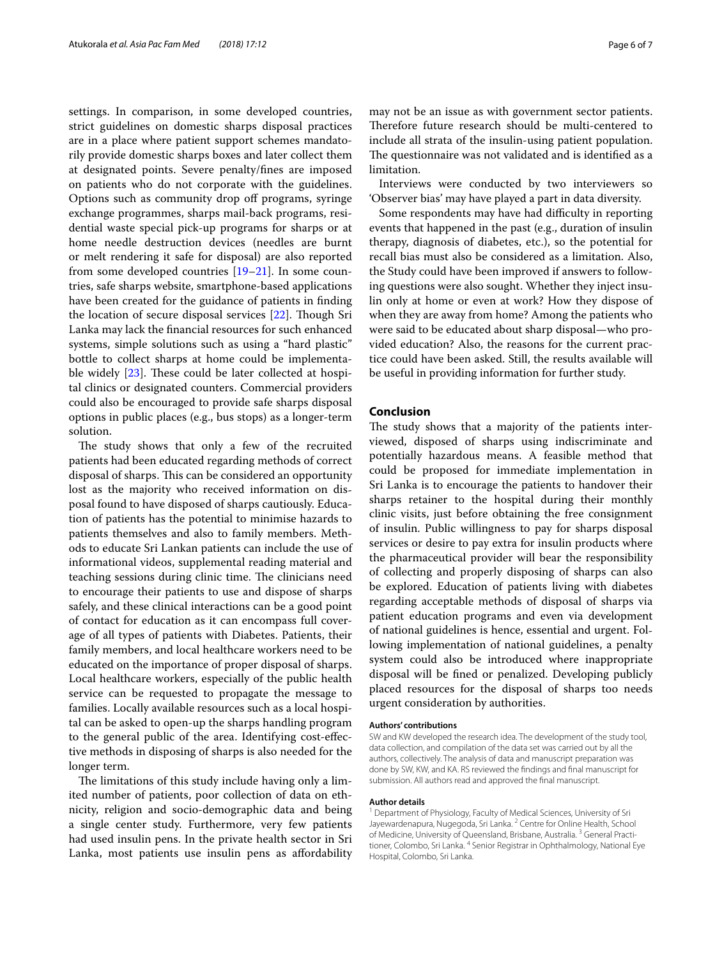settings. In comparison, in some developed countries, strict guidelines on domestic sharps disposal practices are in a place where patient support schemes mandatorily provide domestic sharps boxes and later collect them at designated points. Severe penalty/fnes are imposed on patients who do not corporate with the guidelines. Options such as community drop of programs, syringe exchange programmes, sharps mail-back programs, residential waste special pick-up programs for sharps or at home needle destruction devices (needles are burnt or melt rendering it safe for disposal) are also reported from some developed countries  $[19-21]$  $[19-21]$ . In some countries, safe sharps website, smartphone-based applications have been created for the guidance of patients in fnding the location of secure disposal services  $[22]$  $[22]$ . Though Sri Lanka may lack the fnancial resources for such enhanced systems, simple solutions such as using a "hard plastic" bottle to collect sharps at home could be implementable widely  $[23]$  $[23]$  $[23]$ . These could be later collected at hospital clinics or designated counters. Commercial providers could also be encouraged to provide safe sharps disposal options in public places (e.g., bus stops) as a longer-term solution.

The study shows that only a few of the recruited patients had been educated regarding methods of correct disposal of sharps. This can be considered an opportunity lost as the majority who received information on disposal found to have disposed of sharps cautiously. Education of patients has the potential to minimise hazards to patients themselves and also to family members. Methods to educate Sri Lankan patients can include the use of informational videos, supplemental reading material and teaching sessions during clinic time. The clinicians need to encourage their patients to use and dispose of sharps safely, and these clinical interactions can be a good point of contact for education as it can encompass full coverage of all types of patients with Diabetes. Patients, their family members, and local healthcare workers need to be educated on the importance of proper disposal of sharps. Local healthcare workers, especially of the public health service can be requested to propagate the message to families. Locally available resources such as a local hospital can be asked to open-up the sharps handling program to the general public of the area. Identifying cost-efective methods in disposing of sharps is also needed for the longer term.

The limitations of this study include having only a limited number of patients, poor collection of data on ethnicity, religion and socio-demographic data and being a single center study. Furthermore, very few patients had used insulin pens. In the private health sector in Sri Lanka, most patients use insulin pens as afordability may not be an issue as with government sector patients. Therefore future research should be multi-centered to include all strata of the insulin-using patient population. The questionnaire was not validated and is identified as a limitation.

Interviews were conducted by two interviewers so 'Observer bias' may have played a part in data diversity.

Some respondents may have had difficulty in reporting events that happened in the past (e.g., duration of insulin therapy, diagnosis of diabetes, etc.), so the potential for recall bias must also be considered as a limitation. Also, the Study could have been improved if answers to following questions were also sought. Whether they inject insulin only at home or even at work? How they dispose of when they are away from home? Among the patients who were said to be educated about sharp disposal—who provided education? Also, the reasons for the current practice could have been asked. Still, the results available will be useful in providing information for further study.

# **Conclusion**

The study shows that a majority of the patients interviewed, disposed of sharps using indiscriminate and potentially hazardous means. A feasible method that could be proposed for immediate implementation in Sri Lanka is to encourage the patients to handover their sharps retainer to the hospital during their monthly clinic visits, just before obtaining the free consignment of insulin. Public willingness to pay for sharps disposal services or desire to pay extra for insulin products where the pharmaceutical provider will bear the responsibility of collecting and properly disposing of sharps can also be explored. Education of patients living with diabetes regarding acceptable methods of disposal of sharps via patient education programs and even via development of national guidelines is hence, essential and urgent. Following implementation of national guidelines, a penalty system could also be introduced where inappropriate disposal will be fned or penalized. Developing publicly placed resources for the disposal of sharps too needs urgent consideration by authorities.

## **Authors' contributions**

SW and KW developed the research idea. The development of the study tool, data collection, and compilation of the data set was carried out by all the authors, collectively. The analysis of data and manuscript preparation was done by SW, KW, and KA. RS reviewed the fndings and fnal manuscript for submission. All authors read and approved the fnal manuscript.

#### **Author details**

<sup>1</sup> Department of Physiology, Faculty of Medical Sciences, University of Sri Jayewardenapura, Nugegoda, Sri Lanka.<sup>2</sup> Centre for Online Health, School of Medicine, University of Queensland, Brisbane, Australia. 3 General Practitioner, Colombo, Sri Lanka. <sup>4</sup> Senior Registrar in Ophthalmology, National Eye Hospital, Colombo, Sri Lanka.